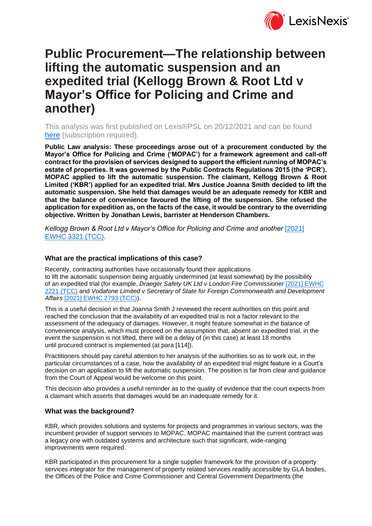

# **Public Procurement—The relationship between lifting the automatic suspension and an expedited trial (Kellogg Brown & Root Ltd v Mayor's Office for Policing and Crime and another)**

This analysis was first published on Lexis®PSL on 20/12/2021 and can be found [here](https://www.lexisnexis.com/uk/lexispsl/publiclaw/docfromresult/D-WA-A-WDB-WDB-MsSWYWZ-UUA-UZEYAAUUW-U-U-U-U-U-U-AZVWZDZUZW-AZVUWCZYZW-WUZBVBEUD-U-U/1/412012?lni=64BK-RW53-CGX8-04NX-00000-00) (subscription required).

**Public Law analysis: These proceedings arose out of a procurement conducted by the Mayor's Office for Policing and Crime ('MOPAC') for a framework agreement and call-off contract for the provision of services designed to support the efficient running of MOPAC's estate of properties. It was governed by the Public Contracts Regulations 2015 (the 'PCR'). MOPAC applied to lift the automatic suspension. The claimant, Kellogg Brown & Root Limited ('KBR') applied for an expedited trial. Mrs Justice Joanna Smith decided to lift the automatic suspension. She held that damages would be an adequate remedy for KBR and that the balance of convenience favoured the lifting of the suspension. She refused the application for expedition as, on the facts of the case, it would be contrary to the overriding objective. Written by Jonathan Lewis, barrister at Henderson Chambers.**

*Kellogg Brown & Root Ltd v Mayor's Office for Policing and Crime and another* [\[2021\]](https://www.lexisnexis.com/uk/lexispsl/publiclaw/docfromresult/D-WA-A-WDB-WDB-MsSWYWZ-UUA-UZEYAAUUW-U-U-U-U-U-U-AZVWZDZUZW-AZVUWCZYZW-WUZBVBEUD-U-U/1/linkHandler.faces?psldocinfo=Public_Procurement_The_relationship_between_lifting_the_automatic_suspension_and_an_expedited_trial__Kellogg_Brown___Root_Ltd_v_Mayor_s_Office_for_Policing_and_Crime_and_another_&linkInfo=F%23GB%23EWHCTCC%23sel1%252021%25year%252021%25page%253321%25&A=0.6474579363686509&bct=A&risb=&service=citation&langcountry=GB)  [EWHC 3321 \(TCC\).](https://www.lexisnexis.com/uk/lexispsl/publiclaw/docfromresult/D-WA-A-WDB-WDB-MsSWYWZ-UUA-UZEYAAUUW-U-U-U-U-U-U-AZVWZDZUZW-AZVUWCZYZW-WUZBVBEUD-U-U/1/linkHandler.faces?psldocinfo=Public_Procurement_The_relationship_between_lifting_the_automatic_suspension_and_an_expedited_trial__Kellogg_Brown___Root_Ltd_v_Mayor_s_Office_for_Policing_and_Crime_and_another_&linkInfo=F%23GB%23EWHCTCC%23sel1%252021%25year%252021%25page%253321%25&A=0.6474579363686509&bct=A&risb=&service=citation&langcountry=GB)

### **What are the practical implications of this case?**

Recently, contracting authorities have occasionally found their applications to lift the automatic suspension being arguably undermined (at least somewhat) by the possibility of an expedited trial (for example, *Draeger Safety UK Ltd v London Fire Commissioner* [\[2021\] EWHC](https://www.lexisnexis.com/uk/lexispsl/publiclaw/docfromresult/D-WA-A-WDB-WDB-MsSWYWZ-UUA-UZEYAAUUW-U-U-U-U-U-U-AZVWZDZUZW-AZVUWCZYZW-WUZBVBEUD-U-U/1/linkHandler.faces?psldocinfo=Public_Procurement_The_relationship_between_lifting_the_automatic_suspension_and_an_expedited_trial__Kellogg_Brown___Root_Ltd_v_Mayor_s_Office_for_Policing_and_Crime_and_another_&linkInfo=F%23GB%23EWHCTCC%23sel1%252021%25year%252021%25page%252221%25&A=0.6450354385840894&bct=A&risb=&service=citation&langcountry=GB)  [2221 \(TCC\)](https://www.lexisnexis.com/uk/lexispsl/publiclaw/docfromresult/D-WA-A-WDB-WDB-MsSWYWZ-UUA-UZEYAAUUW-U-U-U-U-U-U-AZVWZDZUZW-AZVUWCZYZW-WUZBVBEUD-U-U/1/linkHandler.faces?psldocinfo=Public_Procurement_The_relationship_between_lifting_the_automatic_suspension_and_an_expedited_trial__Kellogg_Brown___Root_Ltd_v_Mayor_s_Office_for_Policing_and_Crime_and_another_&linkInfo=F%23GB%23EWHCTCC%23sel1%252021%25year%252021%25page%252221%25&A=0.6450354385840894&bct=A&risb=&service=citation&langcountry=GB) and *Vodafone Limited v Secretary of State for Foreign Commonwealth and Development Affairs* [\[2021\] EWHC 2793 \(TCC\)\)](https://www.lexisnexis.com/uk/lexispsl/publiclaw/docfromresult/D-WA-A-WDB-WDB-MsSWYWZ-UUA-UZEYAAUUW-U-U-U-U-U-U-AZVWZDZUZW-AZVUWCZYZW-WUZBVBEUD-U-U/1/linkHandler.faces?psldocinfo=Public_Procurement_The_relationship_between_lifting_the_automatic_suspension_and_an_expedited_trial__Kellogg_Brown___Root_Ltd_v_Mayor_s_Office_for_Policing_and_Crime_and_another_&linkInfo=F%23GB%23EWHCTCC%23sel1%252021%25year%252021%25page%252793%25&A=0.9510561997565168&bct=A&risb=&service=citation&langcountry=GB).

This is a useful decision in that Joanna Smith J reviewed the recent authorities on this point and reached the conclusion that the availability of an expedited trial is not a factor relevant to the assessment of the adequacy of damages. However, it might feature somewhat in the balance of convenience analysis, which must proceed on the assumption that, absent an expedited trial, in the event the suspension is not lifted, there will be a delay of (in this case) at least 18 months until procured contract is implemented (at para [114]).

Practitioners should pay careful attention to her analysis of the authorities so as to work out, in the particular circumstances of a case, how the availability of an expedited trial might feature in a Court's decision on an application to lift the automatic suspension. The position is far from clear and guidance from the Court of Appeal would be welcome on this point.

This decision also provides a useful reminder as to the quality of evidence that the court expects from a claimant which asserts that damages would be an inadequate remedy for it.

### **What was the background?**

KBR, which provides solutions and systems for projects and programmes in various sectors, was the incumbent provider of support services to MOPAC. MOPAC maintained that the current contract was a legacy one with outdated systems and architecture such that significant, wide-ranging improvements were required.

KBR participated in this procurement for a single supplier framework for the provision of a property services integrator for the management of property related services readily accessible by GLA bodies, the Offices of the Police and Crime Commissioner and Central Government Departments (the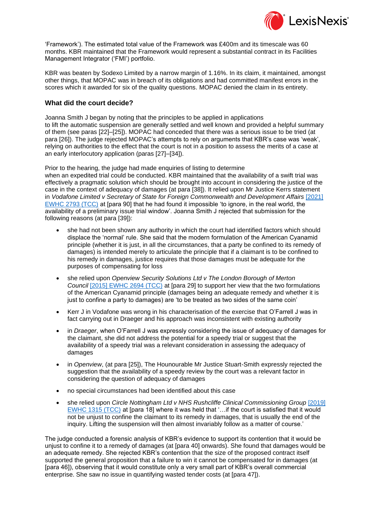

'Framework'). The estimated total value of the Framework was £400m and its timescale was 60 months. KBR maintained that the Framework would represent a substantial contract in its Facilities Management Integrator ('FMI') portfolio.

KBR was beaten by Sodexo Limited by a narrow margin of 1.16%. In its claim, it maintained, amongst other things, that MOPAC was in breach of its obligations and had committed manifest errors in the scores which it awarded for six of the quality questions. MOPAC denied the claim in its entirety.

### **What did the court decide?**

Joanna Smith J began by noting that the principles to be applied in applications to lift the automatic suspension are generally settled and well known and provided a helpful summary of them (see paras [22]–[25]). MOPAC had conceded that there was a serious issue to be tried (at para [26]). The judge rejected MOPAC's attempts to rely on arguments that KBR's case was 'weak', relying on authorities to the effect that the court is not in a position to assess the merits of a case at an early interlocutory application (paras [27]–[34]).

Prior to the hearing, the judge had made enquiries of listing to determine when an expedited trial could be conducted. KBR maintained that the availability of a swift trial was effectively a pragmatic solution which should be brought into account in considering the justice of the case in the context of adequacy of damages (at para [38]). It relied upon Mr Justice Kerrs statement in *Vodafone Limited v Secretary of State for Foreign Commonwealth and Development Affairs* [\[2021\]](https://www.lexisnexis.com/uk/lexispsl/publiclaw/docfromresult/D-WA-A-WDB-WDB-MsSWYWZ-UUA-UZEYAAUUW-U-U-U-U-U-U-AZVWZDZUZW-AZVUWCZYZW-WUZBVBEUD-U-U/1/linkHandler.faces?psldocinfo=Public_Procurement_The_relationship_between_lifting_the_automatic_suspension_and_an_expedited_trial__Kellogg_Brown___Root_Ltd_v_Mayor_s_Office_for_Policing_and_Crime_and_another_&linkInfo=F%23GB%23EWHCTCC%23sel1%252021%25year%252021%25page%252793%25&A=0.22018222714402946&bct=A&risb=&service=citation&langcountry=GB)  [EWHC 2793 \(TCC\)](https://www.lexisnexis.com/uk/lexispsl/publiclaw/docfromresult/D-WA-A-WDB-WDB-MsSWYWZ-UUA-UZEYAAUUW-U-U-U-U-U-U-AZVWZDZUZW-AZVUWCZYZW-WUZBVBEUD-U-U/1/linkHandler.faces?psldocinfo=Public_Procurement_The_relationship_between_lifting_the_automatic_suspension_and_an_expedited_trial__Kellogg_Brown___Root_Ltd_v_Mayor_s_Office_for_Policing_and_Crime_and_another_&linkInfo=F%23GB%23EWHCTCC%23sel1%252021%25year%252021%25page%252793%25&A=0.22018222714402946&bct=A&risb=&service=citation&langcountry=GB) at [para 90] that he had found it impossible 'to ignore, in the real world, the availability of a preliminary issue trial window'. Joanna Smith J rejected that submission for the following reasons (at para [39]):

- she had not been shown any authority in which the court had identified factors which should displace the 'normal' rule. She said that the modern formulation of the American Cyanamid principle (whether it is just, in all the circumstances, that a party be confined to its remedy of damages) is intended merely to articulate the principle that if a claimant is to be confined to his remedy in damages, justice requires that those damages must be adequate for the purposes of compensating for loss
- she relied upon *Openview Security Solutions Ltd v The London Borough of Merton Council* [\[2015\] EWHC 2694 \(TCC\)](https://www.lexisnexis.com/uk/lexispsl/publiclaw/docfromresult/D-WA-A-WDB-WDB-MsSWYWZ-UUA-UZEYAAUUW-U-U-U-U-U-U-AZVWZDZUZW-AZVUWCZYZW-WUZBVBEUD-U-U/1/linkHandler.faces?psldocinfo=Public_Procurement_The_relationship_between_lifting_the_automatic_suspension_and_an_expedited_trial__Kellogg_Brown___Root_Ltd_v_Mayor_s_Office_for_Policing_and_Crime_and_another_&linkInfo=F%23GB%23EWHCTCC%23sel1%252015%25year%252015%25page%252694%25&A=0.615599172282774&bct=A&risb=&service=citation&langcountry=GB) at [para 29] to support her view that the two formulations of the American Cyanamid principle (damages being an adequate remedy and whether it is just to confine a party to damages) are 'to be treated as two sides of the same coin'
- Kerr J in Vodafone was wrong in his characterisation of the exercise that O'Farrell J was in fact carrying out in Draeger and his approach was inconsistent with existing authority
- in *Draeger*, when O'Farrell J was expressly considering the issue of adequacy of damages for the claimant, she did not address the potential for a speedy trial or suggest that the availability of a speedy trial was a relevant consideration in assessing the adequacy of damages
- in *Openview*, (at para [25]), The Hounourable Mr Justice Stuart-Smith expressly rejected the suggestion that the availability of a speedy review by the court was a relevant factor in considering the question of adequacy of damages
- no special circumstances had been identified about this case
- she relied upon *Circle Nottingham Ltd v NHS Rushcliffe Clinical Commissioning Group* [\[2019\]](https://www.lexisnexis.com/uk/lexispsl/publiclaw/docfromresult/D-WA-A-WDB-WDB-MsSWYWZ-UUA-UZEYAAUUW-U-U-U-U-U-U-AZVWZDZUZW-AZVUWCZYZW-WUZBVBEUD-U-U/1/linkHandler.faces?psldocinfo=Public_Procurement_The_relationship_between_lifting_the_automatic_suspension_and_an_expedited_trial__Kellogg_Brown___Root_Ltd_v_Mayor_s_Office_for_Policing_and_Crime_and_another_&linkInfo=F%23GB%23EWHCTCC%23sel1%252019%25year%252019%25page%251315%25&A=0.09348251480299175&bct=A&risb=&service=citation&langcountry=GB)  [EWHC 1315 \(TCC\)](https://www.lexisnexis.com/uk/lexispsl/publiclaw/docfromresult/D-WA-A-WDB-WDB-MsSWYWZ-UUA-UZEYAAUUW-U-U-U-U-U-U-AZVWZDZUZW-AZVUWCZYZW-WUZBVBEUD-U-U/1/linkHandler.faces?psldocinfo=Public_Procurement_The_relationship_between_lifting_the_automatic_suspension_and_an_expedited_trial__Kellogg_Brown___Root_Ltd_v_Mayor_s_Office_for_Policing_and_Crime_and_another_&linkInfo=F%23GB%23EWHCTCC%23sel1%252019%25year%252019%25page%251315%25&A=0.09348251480299175&bct=A&risb=&service=citation&langcountry=GB) at [para 18] where it was held that '…if the court is satisfied that it would not be unjust to confine the claimant to its remedy in damages, that is usually the end of the inquiry. Lifting the suspension will then almost invariably follow as a matter of course.'

The judge conducted a forensic analysis of KBR's evidence to support its contention that it would be unjust to confine it to a remedy of damages (at [para 40] onwards). She found that damages would be an adequate remedy. She rejected KBR's contention that the size of the proposed contract itself supported the general proposition that a failure to win it cannot be compensated for in damages (at [para 46]), observing that it would constitute only a very small part of KBR's overall commercial enterprise. She saw no issue in quantifying wasted tender costs (at [para 47]).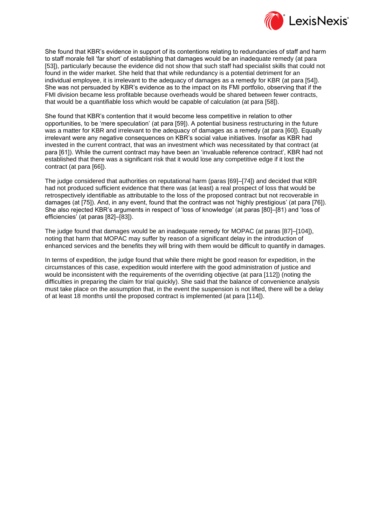

She found that KBR's evidence in support of its contentions relating to redundancies of staff and harm to staff morale fell 'far short' of establishing that damages would be an inadequate remedy (at para [53]), particularly because the evidence did not show that such staff had specialist skills that could not found in the wider market. She held that that while redundancy is a potential detriment for an individual employee, it is irrelevant to the adequacy of damages as a remedy for KBR (at para [54]). She was not persuaded by KBR's evidence as to the impact on its FMI portfolio, observing that if the FMI division became less profitable because overheads would be shared between fewer contracts, that would be a quantifiable loss which would be capable of calculation (at para [58]).

She found that KBR's contention that it would become less competitive in relation to other opportunities, to be 'mere speculation' (at para [59]). A potential business restructuring in the future was a matter for KBR and irrelevant to the adequacy of damages as a remedy (at para [60]). Equally irrelevant were any negative consequences on KBR's social value initiatives. Insofar as KBR had invested in the current contract, that was an investment which was necessitated by that contract (at para [61]). While the current contract may have been an 'invaluable reference contract', KBR had not established that there was a significant risk that it would lose any competitive edge if it lost the contract (at para [66]).

The judge considered that authorities on reputational harm (paras [69]–[74]) and decided that KBR had not produced sufficient evidence that there was (at least) a real prospect of loss that would be retrospectively identifiable as attributable to the loss of the proposed contract but not recoverable in damages (at [75]). And, in any event, found that the contract was not 'highly prestigious' (at para [76]). She also rejected KBR's arguments in respect of 'loss of knowledge' (at paras [80]–[81) and 'loss of efficiencies' (at paras [82]–[83]).

The judge found that damages would be an inadequate remedy for MOPAC (at paras [87]–[104]), noting that harm that MOPAC may suffer by reason of a significant delay in the introduction of enhanced services and the benefits they will bring with them would be difficult to quantify in damages.

In terms of expedition, the judge found that while there might be good reason for expedition, in the circumstances of this case, expedition would interfere with the good administration of justice and would be inconsistent with the requirements of the overriding objective (at para [112]) (noting the difficulties in preparing the claim for trial quickly). She said that the balance of convenience analysis must take place on the assumption that, in the event the suspension is not lifted, there will be a delay of at least 18 months until the proposed contract is implemented (at para [114]).